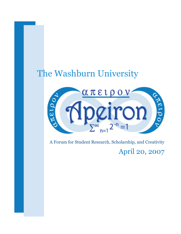# The Washburn University



A Forum for Student Research, Scholarship, and Creativity April 20, 2007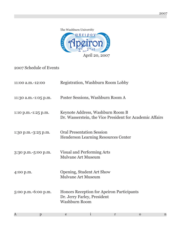

2007 Schedule of Events

| 11:00 a.m.-12:00     |                           | Registration, Washburn Room Lobby                                                            |   |              |             |
|----------------------|---------------------------|----------------------------------------------------------------------------------------------|---|--------------|-------------|
| 11:30 a.m.-1:05 p.m. |                           | Poster Sessions, Washburn Room A                                                             |   |              |             |
| 1:10 p.m.-1:25 p.m.  |                           | Keynote Address, Washburn Room B<br>Dr. Wasserstein, the Vice President for Academic Affairs |   |              |             |
| 1:30 p.m.-3:25 p.m.  |                           | <b>Oral Presentation Session</b><br><b>Henderson Learning Resources Center</b>               |   |              |             |
| 3:30 p.m.-5:00 p.m.  | <b>Mulvane Art Museum</b> | Visual and Performing Arts                                                                   |   |              |             |
| 4:00 p.m.            |                           | Opening, Student Art Show<br><b>Mulvane Art Museum</b>                                       |   |              |             |
| 5:00 p.m.-6:00 p.m.  | <b>Washburn Room</b>      | Honors Reception for Apeiron Participants<br>Dr. Jerry Farley, President                     |   |              |             |
| A<br>p               | e                         | $\bf{l}$                                                                                     | r | $\mathbf{O}$ | $\mathbf n$ |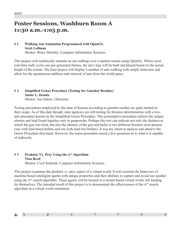# **Poster Sessions, Washburn Room A 11:30 a.m.-1:05 p.m.**

### **# 1 Walking Ant Animation Programmed with OpenGL Scott Lollman** Mentor: Bruce Mechtly, Computer Information Sciences

This project will realistically animate an ant walking over a random terrain using OpenGL. Where most real-time walk cycles use pre-generated frames, the ant's legs will be built and placed based on the actual height of the terrain. The final project will display a number of ants walking with simple behaviors and allow for the spontaneous addition and removal of ants from the world space.

# **# 2 Simplified Griess Procedure (Testing for Gunshot Residue) Jaime L. Dennis**

Mentor: Sue Salem, Chemistry

Testing procedures employed by the state of Kansas according to gunshot residue are quite limited in their scope. As of this date though, state agencies are still testing for distance determination with a twopart procedure known as the Simplified Griess Procedure. This presumptive procedure utilizes the unique nitrates and lead found together only in gunpowder. Perhaps this test can indicate not only the distance at which the gun was fired, but also the identity of the gun and bullet if two different firearms were present (one with lead based bullets and one with lead free bullets). It was my intent to analyze and observe the Griess Procedure first-hand. However, the entire procedure raised a few questions as to what it is capable of indirectly.

#### **# 3 Predator Vs. Prey Using the A\* Algorithm Tina Reed** Mentor: Cecil Schmidt, Computer Information Sciences

This project examines the predator vs. prey aspect of a virtual world. It will examine the behaviors of machine-based intelligent agents with unique properties and their abilities to capture and avoid one another using the A\* search algorithm. These agents will be located in a terrain-based virtual world, left fending for themselves. The intended result of this project is to demonstrate the effectiveness of the A\* search algorithm in a virtual world simulation.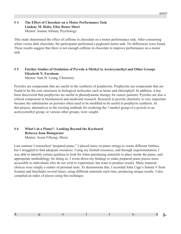### **# 4 The Effect of Chocolate on a Motor Performance Task Lindsay M. Holtz, Elise Renee Short** Mentor: Joanne Altman, Psychology

This study determined the effect of caffeine in chocolate on a motor performance task. After consuming white versus dark chocolate, the participants performed a pegboard motor task. No differences were found. These results suggest that there is not enough caffeine in chocolate to improve performance on a motor task.

# **# 5 Further Studies of Oxidation of Pyrrole a-Methyl to Acetoxymethyl and Other Groups Elizabeth N. Farnham**

Mentor: Sam H. Leung, Chemistry

Pyrroles are compounds that are useful in the synthesis of porphyrins. Porphyrins are compounds that are found to be the core structures in biological molecules such as heme and chlorophyll. In addition, it has been discovered that porphyrins are useful in photodynamic therapy for cancer patients. Pyrroles are also a critical component in biochemical and medicinal research. Research in pyrrole chemistry is very important because the substituents on pyrroles often need to be modified to be useful in porphyrin synthesis. In this project, alternatives to the existing methods for oxidizing the ?-methyl group of a pyrrole to an acetoxymethyl group, or various other groups, were sought.

### **# 6 What's in a Piano?: Looking Beyond the Keyboard Rebecca Joan Bumgarner** Mentor: Jessie Fillerup, Music

Last summer I researched "prepared piano." I placed items on piano strings to create different timbres, but I struggled to find adequate resources. Using my limited resources, and through experimentation, I was able to identify certain qualities to look for when purchasing materials to place inside the piano, and appropriate methodology for doing so. I wrote down my findings to make prepared piano pieces more accessible to individuals who do not wish to experiment, but want to produce results. Many material choices were simply a matter of personal taste. To demonstrate this, I recorded John Cage's Sonata V from Sonatas and Interludes several times, using different materials each time, producing unique results. I also compiled an index of pieces using this technique.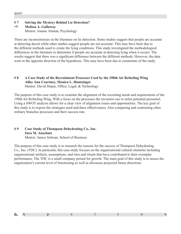### **# 7 Solving the Mystery Behind Lie Detection?**

#### **Melissa A. Gallaway** Mentor: Joanne Altman, Psychology  $WTE$

There are inconsistencies in the literature on lie detection. Some studies suggest that people are accurate at detecting deceit while other studies suggest people are not accurate. This may have been due to the different methods used to create the lying conditions. This study investigated the methodological differences in the literature to determine if people are accurate at detecting lying when it occurs. The results suggest that there was a significant difference between the different methods. However, the data went in the opposite direction of the hypothesis. This may have been due to constraints of the study.

# **# 8 A Case Study of the Recruitment Processes Used by the 190th Air Refueling Wing Alike Ann Courtney, Monica L. Huntzinger**

Mentor: David Depue, Office, Legal, & Technology

The purpose of this case study is to examine the alignment of the recruiting needs and requirements of the 190th Air Refueling Wing. With a focus on the processes the recruiters use to enlist potential personnel. Using a SWOT analysis allows for a clear view of alignment issues and opportunities. The key goal of this study is to expose the strategies used and there effectiveness. Also comparing and contrasting other military branches processes and their success rate.

#### **# 9 Case Study of Thompson Dehydrating Co., Inc. Sara M. Anschutz** Mentor: Janice Schrum, School of Business

The purpose of this case study is to research the reasons for the success of Thompson Dehydrating Co., Inc. (TDC). In particular, this case study focuses on the organizational cultural elements including organizational artifacts, assumptions, and rites and rituals that have contributed to their exemplar performance. The TDC is a small company poised for growth. The main goal of this study is to assess the organization's current level of functioning as well as discusses projected future directions.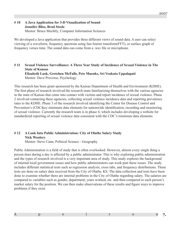#### **# 10 A Java Application for 3-D Visualization of Sound Jennifer Bliss, Brad Steele** Mentor: Bruce Mechtly, Computer Information Sciences

We developed a Java application that provides three different views of sound data. A user can select viewing of a waveform, frequency spectrum using fast fourier transform(FFT), or surface graph of frequency verses time. The sound data can come from a .wav file or microphone.

### **# 11 Sexual Violence Surveillance: A Three Year Study of Incidence of Sexual Violence in The State of Kansas Elizabeth Lusk, Gretchen McFalls, Pete Muenks, Sri Venkata Uppalapati** Mentor: Dave Provorse, Psychology

This research has been grant sponsored by the Kansas Department of Health and Environment (KDHE). The first phase of research involved the research team familiarizing themselves with the various agencies in the state of Kansas that come into contact with victims and report incidence of sexual violence. Phase 2 involved contacting these agencies, collecting sexual violence incidence data and reporting prevalence rates to the KDHE. Phase 3 of the research involved identifying the Center for Disease Control and Prevention's (CDC)key minimum data elements for nationwide identification, recording and monitoring of sexual violence. Currently the research team is in phase 4, which includes developing a website for standardized reporting of sexual violence data consistent with the CDC's minimum data elements.

# **# 12 A Look Into Public Administration: City of Olathe Salary Study Nick Woolery**

Mentor: Steve Cann, Political Science - Geography

Public Administration is a field of study that is often overlooked. However, almost every single thing a person does during a day is affected by a public administrator. This is why exploring public administration and the types of research involved is a very important area of study. This study explores the background of internal local government issues and how public administrators can work past these issues. The study includes different statistical tests such as regression analysis, cross tabs, and frequency distributions. These tests are done on salary data received from the City of Olathe, KS. The data collection and tests have been done to examine whether there are internal problems in the City of Olathe regarding salary. The salaries are compared to variables such as gender, department, years worked, etc. and then compared to each person's market salary for the position. We can then make observations of these results and figure ways to improve problems if they exist.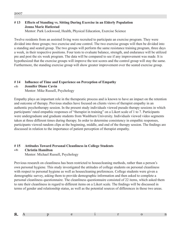## **# 13 Effects of Standing vs. Sitting During Exercise in an Elderly Population Jenna Marie Hatlestad**

Mentor: Park Lockwood, Health, Physical Education, Exercise Science

Twelve residents from an assisted living were recruited to participate an exercise program. They were divided into three groups; two exercise and one control. The two exercise groups will then be divided into a standing and seated group. The two groups will perform the same resistance training program, three days a week, in their respective positions. Four tests to evaluate balance, strength, and endurance will be utilized pre and post the six week program. The data will be compared to see if any improvement was made. It is hypothesized that the exercise groups will improve the test scores and the control group will stay the same. Furthermore, the standing exercise group will show greater improvement over the seated exercise group.

### **# 14 Influence of Time and Experience on Perception of Empathy**

#### **Jennifer Diane Cavin**  $W\!T\!E$

Mentor: Mike Russell, Psychology

Empathy plays an important role in the therapeutic process and is known to have an impact on the retention and outcome of therapy. Previous studies have focused on clients views of therapist empathy in an authentic psychotherapy session. In the present study individuals viewed pseudo therapy sessions in which participants' rated empathic responses of "therapist in training" on a Likert scale of 1 to 7. Participants were undergraduate and graduate students from Washburn University. Individuals viewed video segments taken at three different times during therapy. In order to determine consistency in empathic responses, participants viewed random clips at the beginning, middle, and end of the therapy session. The findings are discussed in relation to the importance of patient perception of therapist empathy.

#### **# 15 Attitudes Toward Personal Cleanliness in College Students Christin Hamilton**  $WTE$

Mentor: Michael Russell, Psychology

Previous research on cleanliness has been restricted to housecleaning methods, rather than a person's own personal hygiene. This study investigated the attitudes of college students on personal cleanliness with respect to personal hygiene as well as housecleaning preferences. College students were given a demographic survey, asking them to provide demographic information and then asked to complete a personal cleanliness questionnaire. The cleanliness questionnaire consisted of 22 items, which asked them to rate their cleanliness in regard to different items on a Likert scale. The findings will be discussed in terms of gender and relationship status, as well as the potential sources of differences in those two areas.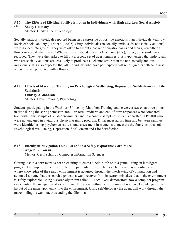#### **# 16 The Effects of Eliciting Positive Emotion in Individuals with High and Low Social Anxiety Shelly Hulinsky**  $WTE$

Mentor: Cindy Turk, Psychology

Socially anxious individuals reported being less expressive of positive emotions than individuals with low levels of social anxiety (Turk et al., 2005). Sixty individuals (30 socially anxious, 30 not socially anxious) were divided into groups. They were asked to fill out a packet of questionnaires and then given either a flower or verbal "thank you." Whether they responded with a Duchenne (true), polite, or no smile was recorded. They were then asked to fill out a second set of questionnaires. It is hypothesized that individuals who are socially anxious are less likely to produce a Duchenne smile than the non-socially anxious individuals. It is also expected that all individuals who have participated will report greater self-happiness when they are presented with a flower.

#### **# 17 Effects of Marathon Training on Psychological Well-Being, Depression, Self-Esteem and Life Satisfaction Lindsay A. Johnson** Mentor: Dave Provorse, Psychology

Students participating in the Washburn University Marathon Training course were assessed at three points in time during the spring semester 2007. Pre-term, midterm and end-of-term responses were compared both within this sample of 31 student-runners and to a control sample of students enrolled in PY100 who were not engaged in a vigorous physical training program. Differences across time and between samples were identified using psychometrically sound assessment instruments to measure the four constructs of: Psychological Well-Being, Depression, Self-Esteem and Life Satisfaction.

# **# 18 Intelligent Navigation Using LRTA\* in a Safely Explorable Corn Maze Angela L. Cowan**

Mentor: Cecil Schmidt, Computer Information Sciences

Getting lost in a corn maze is not an exciting dilemma albeit in life or in a game. Using an intelligent program I attempt to solve this problem. In particular this problem can be framed as an online search where knowledge of the search environment is acquired through the interleaving of computation and actions. I assume that the search agent can always recover from its search mistakes, that is the environment is safely explorable. Using a search algorithm called LRTA\*, I will demonstrate how a computer program can simulate the navigation of a corn maze. The agent within the program will not have knowledge of the layout of the maze upon entry into the environment. Using self discovery the agent will work through the maze finding its way out, thus ending the dilemma.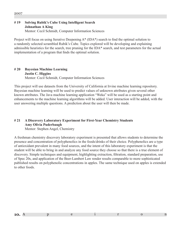# **# 19 Solving Rubik's Cube Using Intelligent Search Johnathan A King**

Mentor: Cecil Schmidt, Computer Information Sciences

Project will focus on using Iterative Deepening A\* (IDA\*) search to find the optimal solution to a randomly selected scrambled Rubik's Cube. Topics explored will be developing and explaining admissible heuristics for the search, tree pruning for the IDA\* search, and test parameters for the actual implementation of a program that finds the optimal solution.

#### **# 20 Bayesian Machine Learning Justin C. Higgins** Mentor: Cecil Schmidt, Computer Information Sciences

This project will use datasets from the University of California at Irvine machine learning repository. Bayesian machine learning will be used to predict values of unknown attributes given several other known attributes. The Java machine learning application "Weka" will be used as a starting point and enhancements to the machine learning algorithms will be added. User interaction will be added, with the user answering multiple questions. A prediction about the user will then be made.

# **# 21 A Discovery Laboratory Experiment for First-Year Chemistry Students Amy Olivia Puderbaugh**

Mentor: Stephen Angel, Chemistry

A freshman chemistry discovery laboratory experiment is presented that allows students to determine the presence and concentration of polyphenolics in the foods/drinks of their choice. Polyphenolics are a type of antioxidant prevalent in many food sources, and the intent of this laboratory experiment is that the student will be able to bring in and analyze any food source they choose so that there is a true element of discovery. Simple techniques and equipment, highlighting extraction, filtration, standard preparation, use of Spec 20s, and application of the Beer-Lambert Law render results comparable to more sophisticated published results on polyphenolic concentrations in apples. The same technique used on apples is extended to other foods.

| __ |  |  |  |  |
|----|--|--|--|--|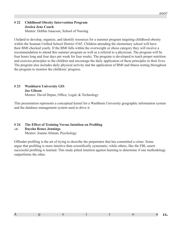#### **# 22 Childhood Obesity Intervention Program Jessica Jene Couch** Mentor: Debbie Isaacson, School of Nursing

I helped to develop, organize, and identify resources for a summer program targeting childhood obesity within the Seaman Unified School District #345. Children attending the elementary school will have their BMI checked yearly. If the BMI falls within the overweight or obese category they will receive a recommendation to attend this summer program as well as a referral to a physician. The program will be four hours long and four days per week for four weeks. The program is developed to teach proper nutrition and exercise principles to the children and encourage the daily application of these principles in their lives. The program also includes daily physical activity and the application of BMI and fitness testing throughout the program to monitor the childrens' progress.

# **# 23 Washburn University GIS**

#### **Joe Gibson**

Mentor: David Depue, Office, Legal, & Technology

This presentation represents a conceptual kernel for a Washburn University geographic information system and the database management system used to drive it.

### **# 24 The Effect of Training Versus Intuition on Profiling**

#### **Daysha Renee Jennings**  $W T E$

Mentor: Joanne Altman, Psychology

Offender profiling is the art of trying to describe the perpetrator that has committed a crime. Some argue that profiling is more intuitive than scientifically systematic; while others, like the FBI, assert successful profiling is learned. This study pitted intuition against learning to determine if one methodology outperforms the other.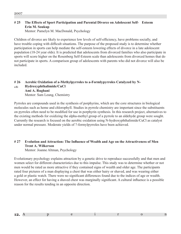## **# 25 The Effects of Sport Participation and Parental Divorce on Adolescent Self- Esteem Erin M. Soukup**

Mentor: Pamelyn M. MacDonald, Psychology

Children of divorce are likely to experience low levels of self-efficiency, have problems socially, and have trouble coping with difficult situations. The purpose of the proposed study is to determine whether participation in sports can help mediate the self-esteem lowering effects of divorce in a late adolescent population (18-24 year olds). It is predicted that adolescents from divorced families who also participate in sports will score higher on the Rosenberg Self-Esteem scale than adolescents from divorced homes that do not participate in sports. A comparison group of adolescents with parents who did not divorce will also be included.

#### **# 26 Aerobic Oxidation of a-Methylpyrroles to a-Formlypyrroles Catalyzed by N- Hydroxyphthalimide/CuCl Ami A. Rughani** Mentor: Sam Leung, Chemistry  $W T E$

Pyrroles are compounds used in the synthesis of porphyrins, which are the core structures in biological molecules such as heme and chlorophyll. Studies in pyrrole chemistry are important since the substituents on pyrroles often need to be modified for use in porphyrin synthesis. In this research project, alternatives to the existing methods for oxidizing the alpha-methyl group of a pyrrole to an aldehyde group were sought. Currently the research is focused on the aerobic oxidation using N-hydroxyphthalimide/CuCl as catalyst under normal pressure. Moderate yields of ?-formylpyrroles have been achieved.

# **# 27 Evolution and Attraction: The Influence of Wealth and Age on the Attractiveness of Men Trent A. Wilkerson**

Mentor: Joanne Altman, Psychology

Evolutionary psychology explains attraction by a genetic drive to reproduce successfully and that men and women select for different characteristics due to this impulse. This study was to determine whether or not men would be rated as more attractive if they contained signs of wealth and older age. The participants rated four pictures of a man displaying a chest that was either hairy or shaved, and was wearing either a gold or plastic watch. There were no significant differences found due to the indices of age or wealth. However, an effect for having a shaved chest was marginally significant. A cultural influence is a possible reason for the results tending in an opposite direction.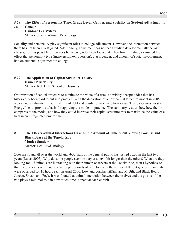#### **# 28 The Effect of Personality Type, Grade Level, Gender, and Sociality on Student Adjustment to College Candace Lea Wilcox**  $W T E$

Mentor: Joanne Altman, Psychology

Sociality and personality play significant roles in college adjustment. However, the interaction between them has not been investigated. Additionally, adjustment has not been studied developmentally across classes, nor has possible differences between gender been looked at. Therefore this study examined the effect that personality type (introversion/extroversion), class, gender, and amount of social involvement, had on students' adjustment to college.

#### **# 29 The Application of Capital Structure Theory Daniel P. McNulty** Mentor: Rob Hull, School of Business

Optimization of capital structure to maximize the value of a firm is a widely accepted idea that has historically been hard to put into practice. With the derivation of a new capital structure model in 2005, we can now estimate the optimal mix of debt and equity to maximize firm value. This paper uses Westar Energy Inc. to provide a basis for applying the model in practice. The summary results show how the firm compares to the model, and how they could improve their capital structure mix to maximize the value of a firm in an unregulated environment.

## **# 30 The Effects Animal Interactions Have on the Amount of Time Spent Viewing Gorillas and Black Bears at the Topeka Zoo Monica Sanders** Mentor: Lee Boyd, Biology

Zoos are found all over the world and about half of the general public has visited a zoo in the last two years (Lukas 2005). Why do some people seem to stay at an exhibit longer than the others? What are they looking for? If animals are interacting with their human observers at the Topeka Zoo, then I hypothesize that the observers will tend to stay longer periods of time to watch them. Two different groups of animals were observed for 10 hours each in April 2006: Lowland gorillas Tiffany and M'Bili, and Black Bears Juneau, Sneak, and Peek. It was found that animal interaction between themselves and the guests of the zoo plays a minimal role in how much time is spent at each exhibit.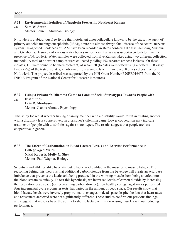### **# 31 Environmental Isolation of Naegleria Fowleri in Northeast Kansas**

#### **Sam W. Smith**  $W T E$

Mentor: John C. Mullican, Biology

N. fowleri is a ubiquitous free-living thermotolerant amoeboflagellate known to be the causative agent of primary amoebic meningoencephalitis (PAM), a rare but almost always fatal disease of the central nervous system. Diagnosed incidences of PAM have been recorded in states bordering Kansas including Missouri and Oklahoma. A survey of various water bodies in northeast Kansas was undertaken to determine the presence of N. fowleri. Water samples were collected from five Kansas lakes using two different collection methods. A total of 46 water samples were collected yielding 152 separate amoeba isolates. Of these isolates, 111 were found to be thermotolerant, of which 20 (to date) were tested using a nested PCR assay. Five (25%) of the tested isolates, all obtained from a single lake in Lawrence, KS, tested positive for N. fowleri. The project described was supported by the NIH Grant Number P20RR016475 from the K-INBRE Program of the National Center for Research Resources.

#### **# 32 Using a Prisoner's Dilemma Game to Look at Social Stereotypes Towards People with Disabilities**  $wT_F$

**Erin R. Menhusen** Mentor: Joanne Altman, Psychology

This study looked at whether having a family member with a disability would result in treating another with a disability less cooperatively in a prisoner's dilemma game. Lower cooperation may indicate treatment of people with disabilities against stereotypes. The results suggest that people are less cooperative in general.

### **# 33 The Effect of Carbonation on Blood Lactate Levels and Exercise Performance in College Aged Males Nikki Roberts, Molly C. Shea** Mentor: Paul Wagner, Biology

Scientists and athletes alike have attributed lactic acid buildup in the muscles to muscle fatigue. The reasoning behind this theory is that additional carbon dioxide from the beverage will create an acid-base imbalance that prevents the lactic acid being produced in the working muscle from being shuttled into the blood stream as quickly. To test this hypothesis, we increased levels of carbon dioxide by increasing the respiratory dead space (i.e re-breathing carbon dioxide). Ten healthy college aged males performed four incremental cycle ergometer tests that varied in the amount of dead space. Our results show that blood lactate levels were inversely proportional to changes in dead space despite the fact that heart rates and resistances achieved were not significantly different. These studies confirm our previous findings and suggest that muscles have the ability to shuttle lactate within exercising muscles without reducing performance.

| -- |  |  |  |
|----|--|--|--|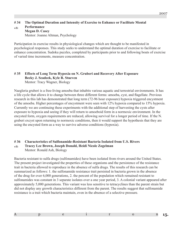#### **# 34 The Optimal Duration and Intensity of Exercise to Enhance or Facilitate Mental Performance Megan D. Casey** Mentor: Joanne Altman, Psychology  $W T E$

Participation in exercise results in physiological changes which are thought to be manifested in psychological responses. This study seeks to understand the optimal duration of exercise to facilitate or enhance concentration. Sudoku puzzles, completed by participants prior to and following bouts of exercise of varied time increments, measure concentration.

# **# 35 Effects of Long Term Hypoxia on N. Gruberi and Recovery After Exposure Becky J. Seadeek, Kyle R. Stueven**

Mentor: Tracy Wagner, Biology

Naegleria gruberi is a free-living amoeba that inhabits various aquatic and terrestrial environments. It has a life cycle that allows it to change between three different forms: amoeba, cyst, and flagellate. Previous research in this lab has demonstrated that long term (72-96 hour exposure) hypoxia triggered encystment of the amoeba. Higher percentages of encystment were seen with 12% hypoxia compared to 15% hypoxia. Currently we are continuing these experiments with the additional step of harvesting the cysts after exposure to hypoxia and seeing if they will return to amoeboid form in a normoxic environment. In the encysted form, oxygen requirements are reduced, allowing survival for a longer period of time. If the N. gruberi excyst upon returning to normoxic conditions, then it would support the hypothesis that they are using the encysted form as a way to survive adverse conditions (hypoxia).

# **# 36 Characteristics of Sulfonamide-Resistant Bacteria Isolated from U.S. Rivers**

#### **Tracey Lee Brown, Joseph Donald, Heidi Nicole Zogelman** Mentor: Ronald Ash, Biology  $W$ **T** $F$

Bacteria resistant to sulfa drugs (sulfonamides) have been isolated from rivers around the United States. The present project investigated the properties of these organisms and the persistence of the resistance trait in bacteria allowed to reproduce in the absence of sulfa drugs. The results of this research can be summarized as follows: 1. the sulfonamide resistance trait persisted in bacteria grown in the absence of the drug for over 6,000 generations, 2. the percent of the population which remained resistant to sulfonamides was constant in 3 separate isolates over a one year period, 3. A colonial variant appeared after approximately 5,000 generations. This variant was less sensitive to tetracyclines than the parent strain but did not display any growth characteristics different from the parent. The results suggest that sulfonamide resistance is a trait which bacteria maintain, even in the absence of a selective pressure.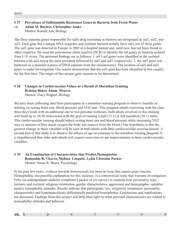# **# 37 Prevalence of Sulfonamide Resistance Genes in Bacteria from Fresh-Water**

**Adam M. Bayless, Christopher Jenks**  $W T E$ 

Mentor: Ronald Ash, Biology

The three separate genes responsible for sulfa drug resistance in bacteria are designated as sul1, sul2, and sul3. Each gene has a unique DNA sequence and resistant bacteria usually have only one of these genes. The sul3 gene was detected in Europe in 2003 in a hospital patient and, until now, has not been found in other countries. We used the polymerase chain reaction (PCR) to identify the sul genes in bacteria isolated from U.S. rivers. The pertinent findings are as follows: 1. all 3 sul genes were identified in the isolated bacteria with sul1 being the most prevalent followed by sul2 and sul3, respectively; 2. the sul1 gene was harbored on a plasmid (a piece of DNA separate from the chromosome). The location of sul2 and sul3 genes is under investigation. Our results demonstrate that the sul3 gene has been identified in this country for the first time. The origin of this unique gene remains to be determined.

# **# 38 Changes in Cardiovascular Values as a Result of Marathon Training Brinton Baker, Adam Weaver**

Mentor: Tracy Wagner, Biology

We have been collecting data from participants in a marathon training program to observe benefits of training on resting heart rate, blood pressure and VO2 max. This program entails exercising with the class three days/week with an additional one to two personal workouts. Individuals involved in this training will build up to 30-50 miles/week with the goal of running a half (13.1) or full marathon (26.1) miles. This cardiovascular training should reduce resting heart rate and blood pressure while increasing VO2 max (a measure of how much oxygen the body can remove from the blood.) Our hypothesis is that the greatest change in these variables will be seen in individuals with little cardiovascular exercise history. A second part of this study is to observe the effects of age on response to the marathon training program. It is hypothesized that older individuals will require more time to see improvements in these cardiovascular variables.

### **# 39 An Examination of Characteristics that Predict Homophobia Romualdo R. Chavez, Melissa Linquist, Lydia Christine Parker** Mentor: Susan R. Burns, Psychology

In the past few years, violence towards homosexuals has been an issue that causes great concern. Homophobia, one possible explanation for this violence, is a controversial topic that warrants investigation. Fifty-six undergraduate students completed a packet of six surveys to examine how personality type, intrinsic and extrinsic religious orientation, gender characteristics, aggression and demographic variables predict homophobic attitudes. Results indicate that participants' sex, religiosity orientation, personality characteristics and hypermasculinity differentially predicted homophobia. Conclusions and implications are discussed. Findings from this project will help shed light on what personal characteristics are related to homophobic attitudes and behavior.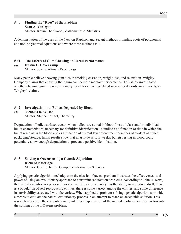### **# 40 Finding the "Root" of the Problem Sean A. VanDyke** Mentor: Kevin Charlwood, Mathematics & Statistics

A demonstration of the uses of the Newton-Raphson and Secant methods in finding roots of polynomial and non-polynomial equations and where these methods fail.

### **# 41 The Effects of Gum Chewing on Recall Performance**

#### **Dustin E. Haverkamp**  $W$ *F<sub>E</sub>*

Mentor: Joanne Altman, Psychology

Many people believe chewing gum aids in smoking cessation, weight loss, and relaxation. Wrigley Company claims that chewing their gum can increase memory performance. This study investigated whether chewing gum improves memory recall for chewing-related words, food words, or all words, as Wrigley's claims.

#### **# 42 Investigation into Bullets Degraded by Blood Nicholas D. Wilson**  $wT_F$

Mentor: Stephen Angel, Chemistry

Degradation of bullet surfaces occurs when bullets are stored in blood. Loss of class and/or individual bullet characteristics, necessary for definitive identification, is studied as a function of time in which the bullet remains in the blood and as a function of current law enforcement practices of evidential bullet packaging/storage. Initial results show that in as little as four weeks, bullets resting in blood could potentially show enough degradation to prevent a positive identification.

# **# 43 Solving n-Queens using a Genetic Algorithm Richard Eastridge**

Mentor: Cecil Schmidt, Computer Information Sciences

Applying genetic algorithm techniques to the classic n-Queens problem illustrates the effectiveness and power of using an evolutionary approach to constraint satisfaction problems. According to John R. Koza, the natural evolutionary process involves the following: an entity has the ability to reproduce itself, there is a population of self-reproducing entities, there is some variety among the entities, and some difference in survivability associated with the variety. When applied to problem-solving, genetic algorithms provide a means to emulate the natural evolutionary process in an attempt to reach an acceptable solution. This research reports on the computationally intelligent application of the natural evolutionary process towards the solving of the n-Queens problem.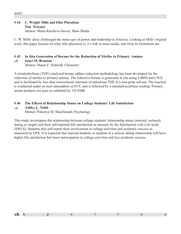#### **# 44 C. Wright Mills and Elite Pluralism Tim Traynor**

Mentor: Maria Raicheva-Stover, Mass Media

C. W. Mills' ideas challenged the status quo of power and leadership in America. Looking at Mills' original work, this paper focuses on what elite pluralism is, it's link to mass media, and what its limitations are.

### **# 45 In Situ Generation of Borane for the Reduction of Nitriles to Primary Amines**

#### **Janet M. Brunton**  $W T E$

Mentor: Shaun E. Schmidt, Chemistry

A tetrahydrofuran (THF) catalyzed borane adduct reduction methodology has been developed for the reduction of nitriles to primary amines. The reductive borane is generated in situ using LiBH4 and CH3I, and is facilitated by less than stoiciometric amounts of anhydrous THF in a non-polar solvent. The reaction is conducted under an inert atmosphere at 65°C and is followed by a standard acid/base workup. Primary amine products are pure as exhibited by 1H NMR.

### **# 46 The Effects of Relationship Status on College Students' Life Satisfaction**

#### **Ashley L. Nabb**  $W T E$

Mentor: Pamelyn M. MacDonald, Psychology

This study investigates the relationship between college students' relationship status (married, seriously dating or single) and their self-reported life satisfaction as measure by the Satisfaction with Life Scale (SWLS). Students also self-report their involvement in college activities and academic success as measured by GPA. It is expected that married students or students in a serious dating relationship will have higher life satisfaction but lower participation in college activities and less academic success.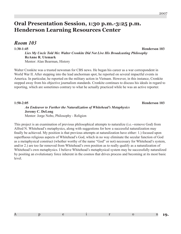# **Oral Presentation Session, 1:30 p.m.-3:25 p.m. Henderson Learning Resources Center**

*Room 103*

**1:30-1:45 Henderson 103** *Lies My Uncle Told Me: Walter Cronkite Did Not Live His Broadcasting Philosophy* **ReAnne R. Utemark** Mentor: Alan Bearman, History

Walter Cronkite was a trusted newsman for CBS news. He began his career as a war correspondent in World War II. After stepping into the lead anchorman spot, he reported on several impactful events in America. In particular, he reported on the military action in Vietnam. However, in this instance, Cronkite stepped away from his objective journalism standards. Cronkite continues to discuss his ideals in regard to reporting, which are sometimes contrary to what he actually practiced while he was an active reporter.

**1:50-2:05 Henderson 103** *An Endeavor to Further the Naturalization of Whitehead's Metaphysics* **Jeremy C. DeLong** Mentor: Jorge Nobo, Philosophy - Religion

This project is an examination of previous philosophical attempts to naturalize (i.e.--remove God) from Alfred N. Whitehead's metaphysics, along with suggestions for how a successful naturalization may finally be achieved. My position is that previous attempts at naturalization have either: 1.) focused upon superfluous religious aspects of Whitehead's God, which in no way eliminate the secular function of God as a metaphysical construct (whether worthy of the name "God" or not) necessary for Whitehead's system, and/or 2.) are too far removed from Whitehead's own position as to really qualify as a naturalization of Whitehead's own metaphysics. I believe Whitehead's metaphysical system may be successfully naturalized by positing an evolutionary force inherent in the cosmos that drives process and becoming at its most basic level.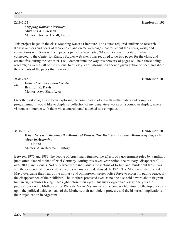## *Mapping Kansas Literature* **Miranda A. Ericsson** Mentor: Thomas Averill, English

This project began in the class Mapping Kansas Literature. The course required students to research Kansas authors and poets of their choice and create web pages that tell about their lives, work, and connections with Kansas. Each page is part of a larger site, "Map of Kansas Literature," which is connected to the Center for Kansas Studies web site. I was required to do two pages for the class, and created five during the semester. I will demonstrate the way this network of pages will help those doing research, as well as all of the curious, to quickly learn information about a given author or poet, and share the contents of the pages that I created.

#### **2:30-2:45 Henderson 103**

#### *Generative and Interactive Art* **Branton K. Davis** Mentor: Azyz Sharafy, Art  $wT_F$

Over the past year, I have been exploring the combination of art with mathematics and computer programming. I would like to display a collection of my generative works on a computer display, where visitors can interact with them via a control panel attached to a computer.

**3:10-3:3:25 Henderson 103**  *When Necessity Becomes the Mother of Protest: The Dirty War and the Mothers of Plaza De Mayo in Argentina* **Julia Bond** Mentor: Alan Bearman, History

Between 1976 and 1983, the people of Argentina witnessed the effects of a government ruled by a military junta often likened to that of Nazi Germany. During this seven year period, the military "disappeared" over 30000 individuals. Not only were these individuals the victims of torture and murder but their lives and the evidence of their existence were systematically destroyed. In 1977, The Mothers of the Plaza de Mayo overcame their fear of the military and omnipresent secret police force to protest in public peaceably the disappearance of their children. The Mothers protested even as no one else said a word about flagrant human rights abuses taking place right before their eyes. This historiographical essay analyzes the publications on the Mothers of the Plaza de Mayo. My analysis of secondary literature on the topic focuses upon the political achievements of the Mothers, their nonviolent protests, and the historical implications of their organization in Argentina.

| $\sim$ |  |  |  |  |
|--------|--|--|--|--|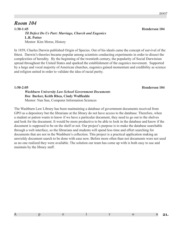# *Room 104*

**1:30-1:45 Henderson 104** *Til Defect Do Us Part: Marriage, Church and Eugenics* **L.R. Potter** Mentor: Kim Morse, History

In 1859, Charles Darwin published Origin of Species. Out of his ideals came the concept of survival of the fittest. Darwin's theories became popular among scientists conducting experiments in order to dissect the complexities of heredity. By the beginning of the twentieth century, the popularity of Social Darwinism spread throughout the United States and sparked the establishment of the eugenics movement. Supported by a large and vocal majority of American churches, eugenics gained momentum and credibility as science and religion united in order to validate the idea of racial purity.

**1:50-2:05 Henderson 104** *Washburn University Law School Government Documents* **Dee Barker, Keith Rhea, Cindy Wulfkuhle** Mentor: Nan Sun, Computer Information Sciences

The Washburn Law Library has been maintaining a database of government documents received from GPO as a depository but the librarians at the library do not have access to the database. Therefore, when a student or patron wants to know if we have a particular document, they need to go out to the shelves and look for the document. It would be more productive to be able to look in the database and know if the document is supposed to be on the shelf or not. Our project's purpose is to make the database searchable through a web interface, so the librarians and students will spend less time and effort searching for documents that are not in the Washburn's collection. This project is a practical application making an unwieldy document search to be done with ease now. Before more often than not documents were not used as no one realized they were available. The solution our team has come up with is both easy to use and maintain by the library staff.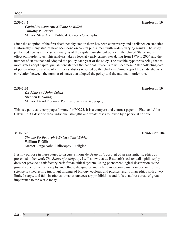#### *Capital Punishment: Kill and be Killed* **Timothy P. Leffert** Mentor: Steve Cann, Political Science - Geography

Since the adoption of the first death penalty statute there has been controversy and a reliance on statistics. Historically many studies have been done on capital punishment with widely varying results. The study performed here is a time series analysis of the capital punishment policy in the United States and its effect on murder rates. This analysis takes a look at yearly crime rates dating from 1976 to 2004 and the number of states that had adopted the policy each year of the study. The testable hypothesis being that as more states adopt capital punishment statutes the national murder rate will decrease. After collecting data of policy adoption and yearly murder statistics reported by the Uniform Crime Report the study shows a correlation between the number of states that adopted the policy and the national murder rate.

**2:50-3:05 Henderson 104**

*On Plato and John Calvin* **Stephen E. Young** Mentor: David Freeman, Political Science - Geography

This is a political theory paper I wrote for PO275. It is a compare and contrast paper on Plato and John Calvin. In it I describe their individual strengths and weaknesses followed by a personal critique.

### *Simone De Beauvoir's Existentialist Ethics* **William F. Olliso** Mentor: Jorge Nobo, Philosophy - Religion

It is my purpose in these pages to discuss Simone de Beauvoir's account of an existentialist ethics as presented in her work *The Ethics of Ambiguity*. I will show that de Beauvoir's existentialist philosophy does not provide a satisfactory basis for an ethical system. Using phenomenological description as the groundwork for her philosophy and ethics, she ignores and fails to incorporate many important truths of science. By neglecting important findings of biology, ecology, and physics results in an ethics with a very limited scope, and fails insofar as it makes unnecessary prohibitions and fails to address areas of great importance to the world today.

# **22.** A p e i r o n

#### **3:10-3:25 Henderson 104**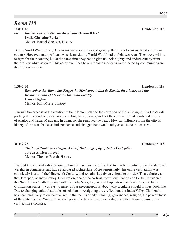# *Room 118*

**1:30-1:45 Henderson 118** *Racism Towards African Americans During WWII* **Lydia Christine Parker** Mentor: Rachel Goossen, History  $wT_F$ 

During World War II, many Americans made sacrifices and gave up their lives to ensure freedom for our country. However, many African-Americans during World War II had to fight two wars. They were willing to fight for their country, but at the same time they had to give up their dignity and endure cruelty from their fellow white soldiers. This essay examines how African Americans were treated by communities and their fellow soldiers.

*Remember the Alamo but Forget the Mexicans: Adina de Zavala, the Alamo, and the Reconstruction of Mexican-American Identity* **Laura Higbee** Mentor: Kim Morse, History

Through the process of the creation of the Alamo myth and the salvation of the building, Adina De Zavala portrayed independence as a process of Anglo-insurgency, and not the culmination of combined efforts of Anglos and Texas-Mexicans. In doing so, she removed the Texas-Mexican influence from the official history of the war for Texas independence and changed her own identity as a Mexican-American.

# *The Land That Time Forgot: A Brief Historiography of Indus Civilization* **Joseph A. Heschmeyer** Mentor: Thomas Prasch, History

The first known civilization to use billboards was also one of the first to practice dentistry, use standardized weights in commerce, and have grid-based architecture. More surprisingly, this entire civilization was completely lost until the Nineteenth Century, and remains largely an enigma to this day. That culture was the Harappan, or Indus Valley, Civilization, one of the earliest known civilizations on Earth. Considered the "fourth river" culture (along with the early Nile-, Tigris-, and Euphrates-based cultures), the Indus Civilization stands in contrast to many of our preconceptions about what a culture should or must look like. Due to changing cultural attitudes of scholars investigating the civilization, the Indus Valley Civilization has been massively re-conceptualized in the realms of city planning, governance, religion, the peacefulness of the state, the role "Aryan invaders" played in the civilization's twilight and the ultimate cause of the civilization's collapse.

**2:10-2:25 Henderson 118** 

**1:50-2:05 Henderson 118**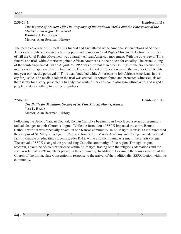**2:30-2:45 Henderson 118** *The Murder of Emmett Till: The Response of the National Media and the Emergence of the Modern Civil Rights Movement* **Danielle J. Van Laeys** Mentor: Alan Bearman, History

The media coverage of Emmett Till's funeral and trial altered white Americans' perceptions of African Americans' rights and created a turning point in the modern Civil Rights Movement. Before the murder of Till the Civil Rights Movement was a largely African American movement. With the coverage of Till's funeral and trial, white Americans joined African Americans in their quest for equality. The brutal killing of the fourteen-year-old Till on August 28, 1955 was different than other killings of the era because of the media attention garnered by the trial. While Brown v Board of Education paved the way for Civil Rights one year earlier, the portrayal of Till's dead body led white Americans to join African Americans in the cry for justice. The media's role in the trial was crucial. Reporters found and protected witnesses, risked their safety for a story, presented a tragedy that white Americans could also sympathize with, and urged all people, to do something to change prejudices.

### **2:50-3:05 Henderson 118**

## *The Battle for Tradition: Society of St. Pius X in St. Mary's, Kansas* **Jess L. Rezac** Mentor: Alan Bearman, History

Following the Second Vatican Council, Roman Catholics beginning in 1965 faced a series of seemingly radical changes to their Church's dogma. While the formation of SSPX impacted the entire Roman Catholic world it was especially pivotal in one Kansas community. In St. Mary's, Kansas, SSPX purchased the campus of St. Mary's College in 1978, and founded St. Mary's Academy and College, an educational facility capable of educating students grades K-12, while also continuing as a small liberal arts college. The arrival of SSPX changed the pre-existing Catholic community of the region. Through original research, I examine SSPX's experience within St. Mary's, tracing both the religious adaptations and the secular role that SSPX members played in the community. In addition, I examine the transformation of the Church of the Immaculate Conception in response to the arrival of the traditionalist SSPX faction within its community.

#### 2007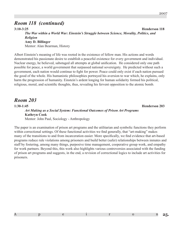# *Room 118 (continued)*

**3:10-3:25 Henderson 118** *The War within a World War: Einstein's Struggle between Science, Morality, Politics, and Religion* **Amy D. Billinger** Mentor: Alan Bearman, History

Albert Einstein's meaning of life was rooted in the existence of fellow man. His actions and words demonstrated his passionate desire to establish a peaceful existence for every government and individual. Nuclear energy, he believed, sabotaged all attempts at global unification. He considered only one path possible for peace, a world government that surpassed national sovereignty. He predicted without such a government, each nation would continue to fight for power. Peace could only exist if each nation pursued the good of the whole. His humanistic philosophies portrayed his aversion to war which, he explains, only harm the progression of humanity. Einstein's ardent longing for human solidarity formed his political, religious, moral, and scientific thoughts, thus, revealing his fervent opposition to the atomic bomb.

# *Room 203*

**1:30-1:45 Henderson 203** *Art Making as a Social System: Functional Outcomes of Prison Art Programs* **Kathryn Cook** Mentor: John Paul, Sociology - Anthropology

The paper is an examination of prison art programs and the utilitarian and symbolic functions they perform within correctional settings. Of these functional activities we find generally, that "art-making" makes many of the transitions to and from incarceration easier. More specifically, we find evidence that art-based programs reduce rule violations among prisoners and build better (safer) relationships between inmates and staff by fostering, among many things, purposive time management, cooperative group work, and empathy for work partners. Beyond this, this work also highlights various controversies associated with the funding of prison art programs and suggests, in the end, a revision of correctional logics to include art activities for prisoners.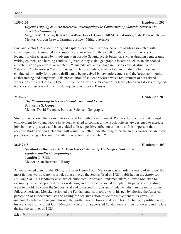# 2007

#### **1:50-2:05 Henderson 203**

### *Legend Tripping as Field Research: Investigating the Connection of "Satanic Tourism" to Juvenile Delinquency*

**Virginia M. Adame, Kofi A Boye-Doe, Juna L Green, Jill M. Schalansky, Cale Michael Urban** Mentor: Gordon Crews, Criminal Justice - Military Science

Fine and Victor (1994) define "legend trips" as delinquent juvenile activities at sites associated with some tragic event, rumored to be supernatural or related to the occult. "Satanic tourism" is a type of legend trip characterized by involvement in pseudo-Satanic/occult behavior, such as drawing pentagrams, writing epithets, and burning candles. A juvenile may visit a geographic location such as an abandoned church, historic graveyard, or reputedly "haunted" site, and engage in mischievous, destructive, or "ritualistic" behaviors as "rites of passage." These activities, which often are relatively harmless and conducted primarily for juvenile thrills, may be perceived by law enforcement and the larger community as threatening and dangerous. This presentation of student research was a requirement of a weekend workshop entitled "Goth and Occult Influence on Juvenile Violence," includes photos and stories of legend trip sites and associated juvenile delinquency in Topeka, Kansas.

### *The Relationship Between Unemployment and Crime* **Samantha S. Cooper** Mentor: David Freeman, Political Science - Geography

Studies have shown that crime rates rise and fall with unemployment. Policies designed to create long-term employment for young people have been enacted to combat crime. Such policies are designed to increase jobs in inner city areas, and have yielded a direct, positive effect on crime rates. It is important that accurate studies be conducted that will result in a better understanding of crime and its causes. So are these policies working? Or should the attention be focused elsewhere?

## *No Monkey Business: H.L. Mencken's Criticism of The Scopes Trial and its Fundamentalist Underpinnings* **Jennifer L. Mills** Mentor: Alan Bearman, History

An enlightened cynic of the 1920s, journalist Henry Louis Mencken was an ardent skeptic of religion. His most famous works were his articles that covered the Scopes Trial of 1925, published in the *Baltimore Evening Sun*. This landmark case, which embodied Protestant Fundamentalism, allowed Mencken to exemplify his self-appointed role as watchdog and reformer of social thought. His purposes in writing were two fold: To cover the Scopes Trial and to discredit Protestant Fundamentalism in the minds of his fellow Americans. Mencken crippled the Fundamentalist theology with his pen by altering the American perception of Fundamentalists and calling for decisive action to see the movement to its grave. He undeniably achieved this goal through the written word. However, despite his effective and prolific prose, his work was not without fault. Mencken wrongly characterized Fundamentalism, its followers, and its fate during the summer of 1925.

| $\sim$ |  |  |
|--------|--|--|
|--------|--|--|

**2:10-2:25 Henderson 203**

**2:30-2:45 Henderson 203**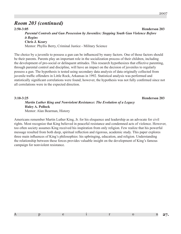# *Room 203 (continued)*

**2:50-3:05 Henderson 203** *Parental Controls and Gun Possession by Juveniles: Stopping Youth Gun Violence Before it Begins* **Chris J. Keary** Mentor: Phyllis Berry, Criminal Justice - Military Science

The choice by a juvenile to possess a gun can be influenced by many factors. One of those factors should be their parents. Parents play an important role in the socialization process of their children, including the development of pro-social or delinquent attitudes. This research hypothesizes that effective parenting, through parental control and discipline, will have an impact on the decision of juveniles to regularly possess a gun. The hypothesis is tested using secondary data analysis of data originally collected from juvenile traffic offenders in Little Rock, Arkansas in 1992. Statistical analysis was performed and statistically significant correlations were found; however, the hypothesis was not fully confirmed since not all correlations were in the expected direction.

**3:10-3:25 Henderson 203** *Martin Luther King and Nonviolent Resistance: The Evolution of a Legacy* **Haley A. Pollock** Mentor: Alan Bearman, History

Americans remember Martin Luther King, Jr. for his eloquence and leadership as an advocate for civil rights. Most recognize that King believed in peaceful resistance and condemned acts of violence. However, too often society assumes King received his inspiration from only religion. Few realize that his powerful message resulted from both deep, spiritual reflection and rigorous, academic study. This paper explores three main influences of King's philosophies: his upbringing, education, and religion. Understanding the relationship between these forces provides valuable insight on the development of King's famous campaign for nonviolent resistance.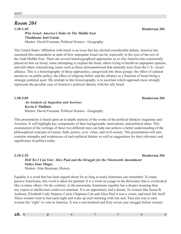# *Room 204*

**1:30-1:45 Henderson 204** *Why Israel: America's Stake In The Middle East* **Thaddaeus Joel Gassie** Mentor: David Freeman, Political Science - Geography

The United States' affiliation with Israel is an issue that has elicited considerable debate. America has sustained this camaraderie in spite of how unpopular Israel can be, especially in the eyes of the rest of the Arab Middle East. There are several historiographical approaches as to why America has consistently placed its bets on Israel, some attempting to explain the bond, others trying to herald an unpopular opinion, and still others rationalizing issues such as those aforementioned that naturally arise from the U.S.--Israel alliance. This is a historiography of these approaches, categorized into three groups: the effect of cultural narratives on public policy, the effect of religious belief, and the alliance as a function of Israel being a strategic political asset. My attempt in this historiography is to ascertain which approach most strongly represents the peculiar case of America's political identity with her ally Israel.

**1:50-2:05 Henderson 204**

*An Analysis of Augustine and Averroes* **Kevin J. Mullinix** Mentor: David Freeman, Political Science - Geography

This presentation is based upon an in-depth analysis of the works of the political thinkers Augustine and Averroes. It will highlight key components of their backgrounds, motivations, and political ideas. This examination of the writings of these two different men can help one achieve a better understanding of the philosophical concepts of reason, faith, justice, civic virtue, and civil society. This presentation will also examine strengths and weaknesses of each political thinker as well as suggestions for their relevance and significance in politics today.

**2:10-2:25 Henderson 204** *Hell Yes I Can Vote: Alice Paul and the Struggle for the Nineteenth Amendment* **Sadye Jane Mages** Mentor: Alan Bearman, History

Equality is a word that has been argued about for as long as many historians can remember. To many passive Americans, this word is taken for granted. It is a word on a page in the dictionary that is overlooked like so many others. On the contrary, to the passionate Americans equality has a deeper meaning than any expert or intellectual could ever annotate. It is an opportunity and a dream. To women like Susan B. Anthony, Elizabeth Cady Stanton, Carrie Chapman Catt and Alice Paul it was a vision, and mere life itself. These women went to bed each night and woke up each morning with one aim. That aim was to earn women the "right" to vote in America. It was a one hundred and forty seven year struggle before women

| $\sim$ |  |  |  |
|--------|--|--|--|
|        |  |  |  |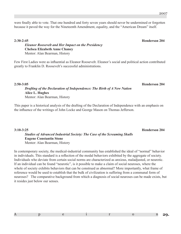were finally able to vote. That one hundred and forty seven years should never be undermined or forgotten because it paved the way for the Nineteenth Amendment, equality, and the "American Dream" itself.

#### **2:30-2:45 Henderson 204**

*Eleanor Roosevelt and Her Impact on the Presidency* **Chelsea Elizabeth Anne Chaney** Mentor: Alan Bearman, History

Few First Ladies were as influential as Eleanor Roosevelt. Eleanor's social and political action contributed greatly to Franklin D. Roosevelt's successful administrations.

*Drafting of the Declaration of Independence: The Birth of A New Nation* **Alice L. Hughes** Mentor: Alan Bearman, History

This paper is a historical analysis of the drafting of the Declaration of Independence with an emphasis on the influence of the writings of John Locke and George Mason on Thomas Jefferson.

*Studies of Advanced Industrial Society: The Case of the Screaming Skulls* **Eugene Constantin Stone** Mentor: Alan Bearman, History

In contemporary society, the medical-industrial community has established the ideal of "normal" behavior in individuals. This standard is a reflection of the modal behaviors exhibited by the aggregate of society. Individuals who deviate from certain social norms are characterized as anxious, maladjusted, or neurotic. If an individual can be found "neurotic", is it possible to make a claim of social neuroses, where the whole of society exhibits behaviors that can be construed as abnormal? More importantly, what frame of reference would be used to establish that the bulk of civilization is suffering from a communal form of neuroses? The comparative background from which a diagnosis of social neuroses can be made exists, but it resides just below our senses.

### **2:50-3:05 Henderson 204**

## **3:10-3:25 Henderson 204**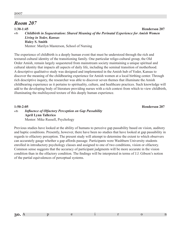#### 2007

# *Room 207*

**1:30-1:45 Henderson 207** *Childbirth in Sequestration: Shared Meaning of the Perinatal Experience for Amish Women Living in Yoder, Kansas* **Haley S. Smith** Mentor: Marilyn Masterson, School of Nursing  $WTE$ 

The experience of childbirth is a deeply human event that must be understood through the rich and textured cultural identity of the transitioning family. One particular religo-cultural group, the Old Order Amish, remain largely sequestered from mainstream society maintaining a unique spiritual and cultural identity that impacts all aspects of daily life, including the seminal transition of motherhood. A descriptive qualitative study was designed and implemented in the Amish hub of Yoder, Kansas to discover the meaning of the childbearing experience for Amish women at a local birthing center. Through rich descriptive inquiry, the researcher was able to discover seven themes that illuminate the Amish childbearing experience as it pertains to spirituality, culture, and healthcare practices. Such knowledge will add to the developing body of literature providing nurses with a rich context from which to view childbirth, illuminating the multilayered texture of this deeply human experience.

#### **1:50-2:05 Henderson 207**

#### *Influence of Olfactory Perception on Gap Passability* **April Lynn Tallerico** Mentor: Mike Russell, Psychology  $W T E$

Previous studies have looked at the ability of humans to perceive gap passability based on vision, auditory and haptic conditions. Presently, however, there have been no studies that have looked at gap passability in regards to olfactory perception. The present study will attempt to determine the extent to which observers can accurately gauge whether a gap affords passage. Participants were Washburn University students enrolled in introductory psychology classes and assigned to one of two conditions, vision or olfactory. Common sense suggests that the accuracy of participant judgments will be more accurate in the vision condition than in the olfactory condition. The findings will be interpreted in terms of J.J. Gibson's notion of the partial equivalences of perceptual systems.

| $\Omega$            |  |  |  |
|---------------------|--|--|--|
| .5V<br>$\mathbf{A}$ |  |  |  |
|                     |  |  |  |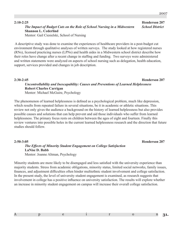#### **2:10-2:25 Henderson 207** *The Impact of Budget Cuts on the Role of School Nursing in a Midwestern School District* **Shannon L. Cederlind** Mentor: Gail Ciesielski, School of Nursing

 A descriptive study was done to examine the experiences of healthcare providers in a post-budget cut environment through qualitative analyses of written surveys. The study looked at how registered nurses (RNs), licensed practicing nurses (LPNs) and health aides in a Midwestern school district describe how their roles have change after a recent change in staffing and funding. Two surveys were administered and written statements were analyzed on aspects of school nursing such as delegation, health education, support, services provided and changes in job description.

## *Uncontrollability and Inescapability: Causes and Preventions of Learned Helplessness* **Robert Charles Carrigan** Mentor: Michael McGuire, Psychology

The phenomenon of learned helplessness is defined as a psychological problem, much like depression, which results from repeated failure in several situations, be it in academic or athletic situations. This review not only gives the audience a background on the history of learned helplessness but also provides possible causes and solutions that can help prevent and aid those individuals who suffer from learned helplessness. The primary focus rests on children between the ages of eight and fourteen. Finally this

review ventures into possible holes in the current learned helplessness research and the direction that future studies should follow.

#### **2:50-3:05 Henderson 207** *The Effects of Minority Student Engagement on College Satisfaction* **LaNise D. Babb** Mentor: Joanne Altman, Psychology

Minority students are more likely to be disengaged and less satisfied with the university experience than majority students. Stress from academic obligations, minority status, limited social networks, family issues, finances, and adjustment difficulties often hinder multiethnic student involvement and college satisfaction. In the present study, the level of university student engagement is examined, as research suggests that involvement in college has a positive influence on university satisfaction. The results will explore whether an increase in minority student engagement on campus will increase their overall college satisfaction.

# **2:30-2:45 Henderson 207**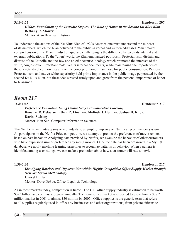#### **3:10-3:25 Henderson 207**

# *Hidden Foundation of the Invisible Empire: The Role of Honor in the Second Ku Klux Klan* **Bethany R. Mowry**

Mentor: Alan Bearman, History

To understand the actions of the Ku Klux Klan of 1920s America one must understand the mindset of its members, which the Klan delivered to the public in verbal and written addresses. What makes comprehension of the Klan mindset unique and challenging is the difference between its internal and external publications. To the "alien" world the Klan emphasized patriotism, Protestantism, disdain and distrust of the Catholic and the Jew and an ethnocentric ideology which promoted the interests of the white, Anglo-Saxon Protestant male. Yet its internal documents, while maintaining the importance of these tenets, dwelled more heavily on the concept of honor than those for public consumption. Patriotism, Protestantism, and native white superiority held prime importance in the public image perpetrated by the second Ku Klux Klan, but these ideals rested firmly upon and grew from the personal importance of honor to Klansmen.

# *Room 217*

**1:30-1:45 Henderson 217** *Preference Estimation Using Computerized Collaborative Filtering* **Renchar R. Delacruz, Ethan R. Fincham, Melinda J. Holman, Joshua D. Knox, Darin Stelting** Mentor: Nan Sun, Computer Information Sciences

The Netflix Prize invites teams or individuals to attempt to improve on Netflix's recommender system. As participants in the Netflix Prize competition, we attempt to predict the preferences of movie renters based on past behavior. Analyzing data provided by Netflix, we examine the behavior of other customers who have expressed similar preferences by rating movies. Once the data has been organized in a MySQL database, we apply machine learning principles to recognize patterns of behavior. When a pattern is identified among user ratings, we can make a prediction about how a customer will rate a movie.

#### **1:50-2:05 Henderson 217**

*Identifying Barriers and Opportunities within Highly Competitive Office Supply Market through New Six Sigma Methodology* **Cheryl Butler**

Mentor: Dave DePue, Office, Legal, & Technology

As in most markets today, competition is fierce. The U.S. office supply industry is estimated to be worth \$323 billion and continues to grow annually. The home office market is expected to grow from a \$38.7 million market in 2001 to almost \$50 million by 2005. Office supplies is the generic term that refers to all supplies regularly used in offices by businesses and other organizations, from private citizens to

| $\sim$ $\sim$ |
|---------------|
|---------------|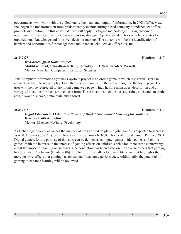governments, who work with the collection, refinement, and output of information. In 2003, OfficeMax, Inc. began the transformation from predominately manufacturing-based company to independent office products distribution. In this case study, we will apply Six Sigma methodology linking customer requirements to an organization's mission, vision, strategic objectives and metrics which translates to organizational knowledge and improved decision-making. The outcome will be the identification of barriers and opportunities for management and other stakeholders at OfficeMax, Inc.

#### **2:10-2:25 Henderson 217**

### *Web-based Quest Game Project* **Mukhtar Farid, Johnathan A. King, Timothy J. O'Neal, Jacob S. Prewett** Mentor: Nan Sun, Computer Information Sciences

This Computer Information Systems Capstone project is an online game in which registered users can connect via the internet and play. First, the user will connect to the site and log into the home page. The user will then be redirected to the initial game web page, which has the main quest description and a variety of locations for the user to choose from. These locations include a castle, ruins, an island, an arctic area, a swamp, a cave, a mountain and a forest.

### **2:30-2:45 Henderson 217** *Digial Educators: A Literature Review of Digital Game-based Learning for Students* **Kristine Faith Appleton** Mentor: Michael McGuire, Psychology

As technology quickly advances the number of hours a student plays digital games is expected to increase as well. On average, a 21 year old has played approximately 10,000 hours of digital games (Prensky 2001). Digital games, for the purpose of this talk, can be defined as computer games, video games and online games. With the increase in the interest of gaming effects on children's behavior, there arose controversy about the impact of gaming on students. One contention has been focus on the adverse effects that gaming has on students' behavior (Brady 2006). The focus of this talk is to review literature that highlights the more positive effects that gaming has on students' academic performance. Additionally, the potential of gaming to enhance learning will be reviewed.

|--|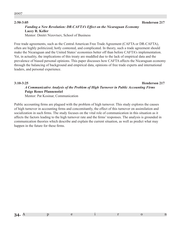2007

# *Funding a New Revolution: DR-CAFTA's Effect on the Nicaraguan Economy* **Lacey R. Keller**

Mentor: Dmitri Nizovtsev, School of Business

Free trade agreements, such as the Central American Free Trade Agreement (CAFTA or DR-CAFTA), often are highly politicized, hotly contested, and complicated. In theory, such a trade agreement should make the Nicaraguan and the United States' economies better off than before CAFTA's implementation. Yet, in actuality, the implications of this treaty are muddled due to the lack of empirical data and the prevalence of biased personal opinions. This paper discusses how CAFTA affects the Nicaraguan economy through the balancing of background and empirical data, opinions of free trade experts and international leaders, and personal experience.

### **3:10-3:25 Henderson 217** *A Communicative Analysis of the Problem of High Turnover in Public Accounting Firms* **Paige Renee Pfannenstiel** Mentor: Pat Kosinar, Communication

Public accounting firms are plagued with the problem of high turnover. This study explores the causes of high turnover in accounting firms and concomitantly, the effect of this turnover on assimilation and socialization in such firms. The study focuses on the vital role of communication in this situation as it affects the factors leading to the high turnover rate and the firms' responses. The analysis is grounded in communication theories which describe and explain the current situation, as well as predict what may happen in the future for these firms.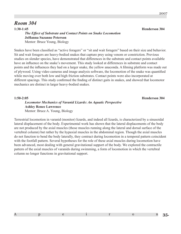# *Room 304*

**1:30-1:45 Henderson 304** *The Effect of Substrate and Contact Points on Snake Locomotion* **JoHanna Suzanne Peterson** Mentor: Bruce Young, Biology

Snakes have been classified as "active foragers" or "sit and wait foragers" based on their size and behavior. Sit and wait foragers are heavy-bodied snakes that capture prey using venom or constriction. Previous studies on slender species, have demonstrated that differences in the substrate and contact points available have an influence on the snake's movement. This study looked at differences in substrate and contact points and the influences they had on a larger snake, the yellow anaconda. A filming platform was made out of plywood. Using video cameras and image analysis software, the locomotion of the snake was quantified while moving over both low and high friction substrates. Contact points were also incorporated at different spacings. This study confirmed the finding of distinct gaits in snakes, and showed that locomotor mechanics are distinct in larger heavy-bodied snakes.

**1:50-2:05 Henderson 304** 

### *Locomotor Mechanics of Varanid Lizards: An Aquatic Perspective* **Ashley Renee Lawrence** Mentor: Bruce A. Young, Biology

Terrestrial locomotion in varanid (monitor) lizards, and indeed all lizards, is characterized by a sinusoidal lateral displacement of the body. Experimental work has shown that the lateral displacements of the body are not produced by the axial muscles (those muscles running along the lateral and dorsal surface of the vertebral column) but rather by the hypaxial muscles in the abdominal region. Though the axial muscles do not function to bend the body laterally, they contract during locomotion in a temporal pattern coincident with the footfall pattern. Several hypotheses for the role of these axial muscles during locomotion have been advanced, most dealing with general gravitational support of the body. We explored the contractile pattern of the axial muscles of varanids during swimming, a form of locomotion in which the vertebral column no longer functions in gravitational support.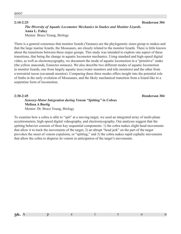### *The Diversity of Aquatic Locomotor Mechanics in Snakes and Monitor Lizards.* **Anna L. Fahey** Mentor: Bruce Young, Biology

There is a general consensus that monitor lizards (Varanus) are the phylogenetic sister-group to snakes and that the large marine lizards, the Mosasaurs, are closely related to the monitor lizards. There is little known about the transitions between these major groups. This study was intended to explore one aspect of these transitions, that being the change in aquatic locomotor mechanics. Using standard and high-speed digital video, as well as electromyography, we document the mode of aquatic locomotion in a "primitive" snake (the yellow anaconda, Eunectes notaeus). We also describe two different modes of aquatic locomotion in monitor lizards, one from largely aquatic taxa (water monitors and nile monitors) and the other from a terrestrial taxon (savannah monitor). Comparing these three modes offers insight into the potential role of limbs in the early evolution of Mosasaurs, and the likely mechanical transition from a lizard-like to a serpentine form of locomotion.

#### **2:30-2:45 Henderson 304**

### *Sensory-Motor Integration during Venom "Spitting" in Cobras* **Melissa A Boetig** Mentor: Dr. Bruce Young, Biology

To examine how a cobra is able to "spit" at a moving target, we used an integrated array of multi-plane accelerometers, high-speed digital videography, and electromyography. Our analyses suggest that the spitting behavior consists of three key sequential components: 1) the cobra makes slight head movements that allow it to track the movements of the target; 2) an abrupt "head jerk" on the part of the target provokes the onset of venom expulsion, or "spitting;" and 3) the cobra makes rapid cephalic movements that allow the cobra to disperse its venom in anticipation of the target's movements.

| $\sim$         |  |  |  |
|----------------|--|--|--|
| --             |  |  |  |
| $\blacksquare$ |  |  |  |

#### **2:10-2:25 Henderson 304**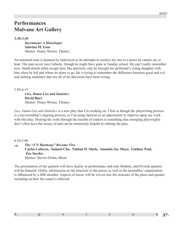# **Performances Mulvane Art Gallery**

**3:30-3:45**

*Sacrament: A Monologue* **Sabrina M. Goss** Mentor: Penny Weiner, Theatre

An unnamed man is haunted by indecision as he attempts to confess his sins to a priest he cannot see or hear. The man never was Catholic, though he might have gone to Sunday school. He can't really remember now. Small details often escape him, like precisely why he brought his girlfriend's young daughter with him when he left and where he plans to go. He is trying to remember the difference between good and evil and seeking assurance that not all of his decisions have been wrong.

3:50-4:15

*Lies, Damn Lies and Statistics* **David Bury** Mentor: Penny Weiner, Theatre

*Lies, Damn Lies and Statistics* is a new play that I'm working on. I feel as though the playwriting process is a (neverending?) ongoing process, so I'm using Apeiron as an opportunity to improve upon my work with this play. Hearing the work through the mouths of readers is something that emerging playwrights don't often have the luxury of and can be immensely helpful in refining the play.

 $4.20 - 5.00$ 

*The "4'N Harmony" Become Five* **Carlos Cabezas, Samuel Cho, Nathan D. Mark, Amanda Joy Mayo, Lindsay Paul, Zac Snyder** Mentor: Steven Elisha, Music  $WTE$ 

The presentation of the quintets will have duality in performance and oral. Brahms, and Dvorak quintets will be featured. Orally, information on the structure of the pieces as well as the ensembles' organization is influenced by a fifth member. Aspects of music will be woven into the structure of the piece and quintet, including on how the sound is affected.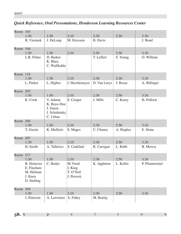| Room 103 |                                                                  |                                                                  |                                                |                 |           |                 |
|----------|------------------------------------------------------------------|------------------------------------------------------------------|------------------------------------------------|-----------------|-----------|-----------------|
|          | 1:30                                                             | 1:50                                                             | 2:10                                           | 2:30            | 2:50      | 3:10            |
|          | R. Utemark                                                       | J. DeLong                                                        | M. Ericsson                                    | <b>B.</b> Davis |           | J. Bond         |
| Room 104 |                                                                  |                                                                  |                                                |                 |           |                 |
|          | 1:30                                                             | 1:50                                                             | 2:10                                           | 2:30            | 2:50      | 3:10            |
|          | L.R. Potter                                                      | D. Barker<br>K. Rhea<br>C. Wulfkuhle                             |                                                | T. Leffert      | S. Young  | O. William      |
| Room 118 |                                                                  |                                                                  |                                                |                 |           |                 |
|          | 1:30                                                             | 1:50                                                             | 2:10                                           | 2:30            | 2:50      | 3:10            |
|          | L. Parker                                                        | L. Higbee                                                        | J. Heschemeyer                                 | D. Van Laeys    | J. Rezac  | A. Billinger    |
| Room 203 |                                                                  |                                                                  |                                                |                 |           |                 |
|          | 1:30                                                             | 1:50                                                             | 2:10                                           | 2:30            | 2:50      | 3:10            |
|          | K. Cook                                                          | V. Adame<br>K. Boye-Doe<br>J. Green<br>J. Schalansky<br>C. Urban | S. Cooper                                      | J. Mills        | C. Keary  | H. Pollock      |
| Room 204 |                                                                  |                                                                  |                                                |                 |           |                 |
|          | 1:30                                                             | 1:50                                                             | 2:10                                           | 2:30            | 2:50      | 3:10            |
|          | T. Gassie                                                        | K. Mullinix                                                      | S. Mages                                       | C. Chaney       | A. Hughes | E. Stone        |
| Room 207 |                                                                  |                                                                  |                                                |                 |           |                 |
|          | 1:30                                                             | 1:50                                                             | 2:10                                           | 2:30            | 2:50      | 3:10            |
|          | H. Smith                                                         | A. Tallerico                                                     | S. Cedelind                                    | R. Carrigan     | L. Babb   | <b>B.</b> Mowry |
| Room 217 |                                                                  |                                                                  |                                                |                 |           |                 |
|          | 1:30                                                             | 1:50                                                             | 2:10                                           | 2:30            | 2:50      | 3:10            |
|          | R. Delacruz<br>E. Fincham<br>M. Holman<br>J. Knox<br>D. Stelting | C. Butler                                                        | M. Farid<br>J. King<br>T. O'Neil<br>J. Prewett | K. Appleton     | L. Keller | P. Pfannenstiel |
| Room 304 |                                                                  |                                                                  |                                                |                 |           |                 |
|          | 1:30                                                             | 1:50                                                             | 2:10                                           | 2:30            | 2:50      | 3:10            |
|          | J. Peterson                                                      | A. Lawrence                                                      | A. Fahey                                       | M. Boetig       |           |                 |

# *Quick Reference, Oral Presentations, Henderson Learning Resources Center*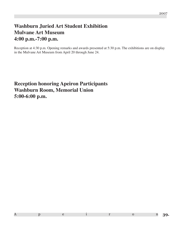#### 2007

# **Washburn Juried Art Student Exhibition Mulvane Art Museum 4:00 p.m.-7:00 p.m.**

Reception at 4:30 p.m. Opening remarks and awards presented at 5:30 p.m. The exhibitions are on display in the Mulvane Art Museum from April 20 through June 24.

**Reception honoring Apeiron Participants Washburn Room, Memorial Union 5:00-6:00 p.m.**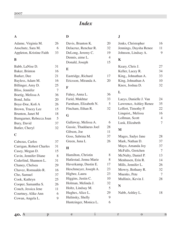# *Index*

# **A**

| Adame, Virginia M.       | 26 |
|--------------------------|----|
| Anschutz, Sara M.        | 6  |
| Appleton, Kristine Faith | 33 |

# **B**

| Babb, LaNise D.         | 31 |
|-------------------------|----|
| Baker, Brinton          | 16 |
| Barker, Dee             | 21 |
| Bayless, Adam M.        | 16 |
| Billinger, Amy D.       | 25 |
| Bliss, Jennifer         | 7  |
| Boetig, Melissa A       | 36 |
| Bond, Julia             | 20 |
| Boye-Doe, Kofi A        | 26 |
| Brown, Tracey Lee       | 15 |
| Brunton, Janet M        | 18 |
| Bumgarner, Rebecca Joan | 5  |
| Bury, David             | 37 |
| Butler, Cheryl          | 32 |
|                         |    |

# **C**

| Cabezas, Carlos          | 37 |
|--------------------------|----|
| Carrigan, Robert Charles | 31 |
| Casey, Megan D.          | 15 |
| Cavin, Jennifer Diane    | 8  |
| Cederlind, Shannon L.    | 31 |
| Chaney, Chelsea          | 29 |
| Chavez, Romualdo R.      | 16 |
| Cho, Samuel              | 37 |
| Cook, Kathryn            | 25 |
| Cooper, Samantha S.      | 26 |
| Couch, Jessica Jene      | 11 |
| Courtney, Alike Ann      | 6  |
| Cowan, Angela L.         | 9  |
|                          |    |

# **D**

| Davis, Branton K.      | 20 |
|------------------------|----|
| Delacruz, Renchar R.   | 32 |
| DeLong, Jeremy C.      | 19 |
| Dennis, aime L.        | 4  |
| Donald, Joseph         | 15 |
| E                      |    |
| Eastridge, Richard     | 17 |
| Ericsson, Miranda A.   | 20 |
| F                      |    |
| Fahey, Anna L.         | 36 |
| Farid, Mukhtar         | 33 |
| Farnham, Elizabeth N.  | 5  |
| Fincham, Ethan R.      | 32 |
| G                      |    |
| Gallaway, Melissa A.   | 6  |
| Gassie, Thaddaeus Joel | 28 |
| Gibson, Joe            | 11 |
| Goss, Sabrina M.       | 37 |
|                        |    |

# **H**

| Hamilton, Christin     | 8  |
|------------------------|----|
| Hatlestad, Jenna Marie | 8  |
| Haverkamp, Dustin E.   | 17 |
| Heschmeyer, Joseph A.  | 23 |
| Higbee, Laura          | 23 |
| Higgins, Justin C.     | 10 |
| Holman, Melinda J.     | 32 |
| Holtz, Lindsay M.      | 5  |
| Hughes, Alice L.       | 29 |
| Hulinsky, Shelly       | 9  |
| Huntzinger, Monica L.  | 6  |
|                        |    |

Green, Juna L 26

# **J**

| Jenks, Christopher     | 16 |
|------------------------|----|
| Jennings, Daysha Renee | 11 |
| Johnson, Lindsay A.    | 9  |
| $\mathbf K$            |    |
| Keary, Chris J.        | 27 |
| Keller, Lacey R.       | 34 |
| King,, Johnathan A.    | 33 |
| King, Johnathan A      | 10 |
| Knox, Joshua D.        | 32 |
| L                      |    |
| Laeys, Danielle J. Van | 24 |
| Lawrence, Ashley Renee | 35 |
| Leffert, Timothy P.    | 22 |
| Linquist,, Melissa     | 16 |
| Lollman, Scott         | 4  |
| Lusk, Elizabeth        | 7  |
| M                      |    |
| Mages, Sadye Jane      | 28 |
| Mark, Nathan D.        | 37 |
| Mayo, Amanda Joy       | 37 |
| McFalls, Gretchen      | 7  |
| McNulty, Daniel P.     | 13 |
| Menhusen, Erin R.      | 14 |
| Mills, Jennifer L.     | 26 |
| Mowry, Bethany R.      | 32 |
| Muenks, Pete           | 7  |
| Mullinix, Kevin J.     | 28 |
| N                      |    |
|                        | 18 |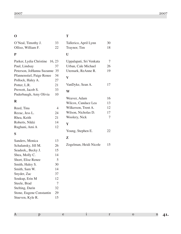## **O**

# **T**

| O'Neal, Timothy J.             | 33             | Tallerico, April Lynn     | 30     |
|--------------------------------|----------------|---------------------------|--------|
| Olliso, William F.             | 22             | Traynor, Tim              | 18     |
| ${\bf P}$                      |                | U                         |        |
| Parker, Lydia Christine 16, 23 |                | Uppalapati, Sri Venkata   | 7      |
| Paul, Lindsay                  | 37             | Urban, Cale Michael       | 26     |
| Peterson, JoHanna Suzanne 35   |                | Utemark, ReAnne R.        | 19     |
| Pfannenstiel, Paige Renee      | 34             | $\boldsymbol{\mathrm{V}}$ |        |
| Pollock, Haley A.              | 27             |                           |        |
| Potter, L.R.                   | 21             | VanDyke, Sean A.          | 17     |
| Prewett, Jacob S.              | 33             | W                         |        |
| Puderbaugh, Amy Olivia         | 10             |                           |        |
| $\bf R$                        |                | Weaver, Adam              | 16     |
|                                |                | Wilcox, Candace Lea       | 13     |
| Reed, Tina                     | $\overline{4}$ | Wilkerson, Trent A.       | 12     |
| Rezac, Jess L.                 | 24             | Wilson, Nicholas D.       | 17     |
| Rhea, Keith                    | 21             | Woolery, Nick             | $\tau$ |
| Roberts, Nikki                 | 14             | Y                         |        |
| Rughani, Ami A                 | 12             |                           |        |
| S                              |                | Young, Stephen E.         | 22     |
|                                |                | ${\bf z}$                 |        |
| Sanders, Monica                | 13             |                           | 15     |
| Schalansky, Jill M.            | 26             | Zogelman, Heidi Nicole    |        |
| Seadeek,, Becky J.             | 15             |                           |        |
| Shea, Molly C.                 | 14             |                           |        |
| Short, Elise Renee             | 5              |                           |        |
| Smith, Haley S.                | 30             |                           |        |
| Smith, Sam W.                  | 14             |                           |        |
| Snyder, Zac                    | 37             |                           |        |
| Soukup, Erin M                 | 12             |                           |        |
| Steele, Brad                   | 7              |                           |        |
| Stelting, Darin                | 32             |                           |        |
| Stone, Eugene Constantin       | 29             |                           |        |
| Stueven, Kyle R.               | 15             |                           |        |
|                                |                |                           |        |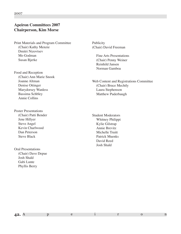# **Apeiron Committees 2007 Chairperson, Kim Morse**

Print Materials and Program Committee (Chair) Kathy Menzie Dmitri Nizovtsev Mo Godman Susan Bjerke

Food and Reception (Chair) Ann Marie Snook Joanne Altman Denise Ottinger Marydorsey Wanless Bassima Schbley Annie Collins

Poster Presentations (Chair) Patti Bender Jene Hillyer Steve Angel Kevin Charlwood Dan Peterson Steve Black

Oral Presentations (Chair) Dave Depue Josh Shald Gabi Lunte Phyllis Berry

Publicity (Chair) David Freeman

> Fine Arts Presentations (Chair) Penny Weiner Reinhild Jansen Norman Gamboa

Web Content and Registrations Committee (Chair) Bruce Mechtly Laura Stephenson Matthew Puderbaugh

Student Moderators Whitney Philippi Kylie Gilstrap Annie Brevitz Michelle Truitt Patrick Muenks David Reed Josh Shald